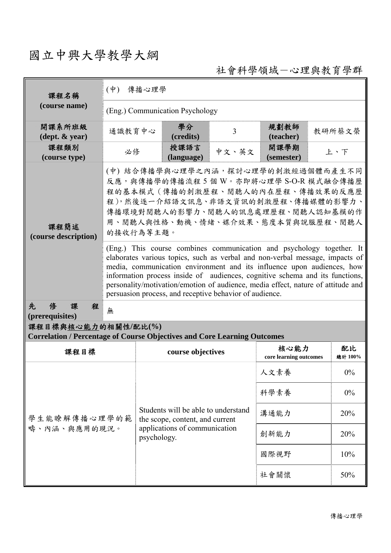## 國立中興大學教學大綱

社會科學領域-心理與教育學群

| 課程名稱<br>(course name)                                                                                  | 傳播心理學<br>$(\phi)$                                                                                                                                                                                                                                                                                                                                                                                                                                              |                                                                        |                   |       |                                |       |               |  |
|--------------------------------------------------------------------------------------------------------|----------------------------------------------------------------------------------------------------------------------------------------------------------------------------------------------------------------------------------------------------------------------------------------------------------------------------------------------------------------------------------------------------------------------------------------------------------------|------------------------------------------------------------------------|-------------------|-------|--------------------------------|-------|---------------|--|
|                                                                                                        | (Eng.) Communication Psychology                                                                                                                                                                                                                                                                                                                                                                                                                                |                                                                        |                   |       |                                |       |               |  |
| 開課系所班級<br>$(\text{dept.} \& \text{ year})$                                                             | 通識教育中心                                                                                                                                                                                                                                                                                                                                                                                                                                                         |                                                                        | 學分<br>(credits)   | 3     | 規劃教師<br>(teacher)              |       | 教研所蔡文榮        |  |
| 課程類別<br>(course type)                                                                                  | 必修                                                                                                                                                                                                                                                                                                                                                                                                                                                             | 授課語言<br>(language)                                                     |                   | 中文、英文 | 開課學期<br>(semester)             | 上、下   |               |  |
| 課程簡述<br>(course description)                                                                           | (中)結合傳播學與心理學之內涵,探討心理學的刺激經過個體而產生不同<br>反應,與傳播學的傳播流程5個W。亦即將心理學 S-O-R 模式融合傳播歷<br>程的基本模式(傳播的刺激歷程、閱聽人的內在歷程、傳播效果的反應歷<br>程),然後逐一介紹語文訊息、非語文資訊的刺激歷程、傳播媒體的影響力、<br>傳播環境對閱聽人的影響力、閱聽人的訊息處理歷程、閱聽人認知基模的作<br>用、閱聽人與性格、動機、情緒、媒介效果、態度本質與說服歷程、閱聽人<br>的接收行為等主題。                                                                                                                                                                                                                     |                                                                        |                   |       |                                |       |               |  |
|                                                                                                        | (Eng.) This course combines communication and psychology together. It<br>elaborates various topics, such as verbal and non-verbal message, impacts of<br>media, communication environment and its influence upon audiences, how<br>information process inside of audiences, cognitive schema and its functions,<br>personality/motivation/emotion of audience, media effect, nature of attitude and<br>persuasion process, and receptive behavior of audience. |                                                                        |                   |       |                                |       |               |  |
| 先<br>俢<br>程<br>課<br>(prerequisites)                                                                    | 無                                                                                                                                                                                                                                                                                                                                                                                                                                                              |                                                                        |                   |       |                                |       |               |  |
| 課程目標與核心能力的相關性/配比(%)<br><b>Correlation / Percentage of Course Objectives and Core Learning Outcomes</b> |                                                                                                                                                                                                                                                                                                                                                                                                                                                                |                                                                        |                   |       |                                |       |               |  |
| 課程目標                                                                                                   |                                                                                                                                                                                                                                                                                                                                                                                                                                                                |                                                                        | course objectives |       | 核心能力<br>core learning outcomes |       | 配比<br>總計 100% |  |
|                                                                                                        |                                                                                                                                                                                                                                                                                                                                                                                                                                                                |                                                                        |                   | 人文素養  |                                | $0\%$ |               |  |
|                                                                                                        |                                                                                                                                                                                                                                                                                                                                                                                                                                                                |                                                                        |                   |       | 科學素養                           |       | $0\%$         |  |
| 學生能瞭解傳播心理學的範<br>疇、內涵、與應用的現況。                                                                           |                                                                                                                                                                                                                                                                                                                                                                                                                                                                | Students will be able to understand<br>the scope, content, and current | 溝通能力              |       | 20%                            |       |               |  |
|                                                                                                        |                                                                                                                                                                                                                                                                                                                                                                                                                                                                | applications of communication<br>psychology.                           |                   |       | 創新能力                           |       | 20%           |  |
|                                                                                                        |                                                                                                                                                                                                                                                                                                                                                                                                                                                                |                                                                        |                   |       | 國際視野                           |       | 10%           |  |
|                                                                                                        |                                                                                                                                                                                                                                                                                                                                                                                                                                                                |                                                                        |                   | 社會關懷  |                                | 50%   |               |  |